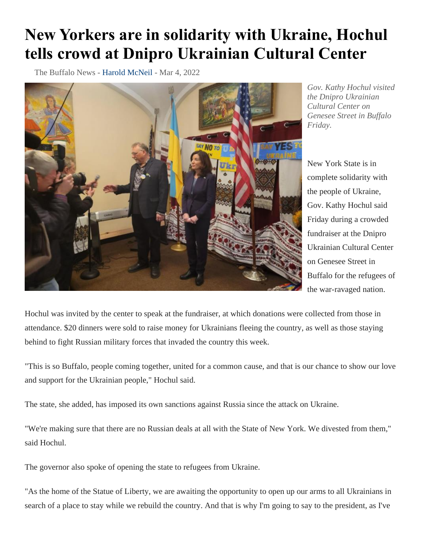## **New Yorkers are in solidarity with Ukraine, Hochul tells crowd at Dnipro Ukrainian Cultural Center**

The Buffalo News - [Harold McNeil](https://buffalonews.com/users/profile/Harold%20McNeil) - Mar 4, 2022



*Gov. Kathy Hochul visited the Dnipro Ukrainian Cultural Center on Genesee Street in Buffalo Friday.*

New York State is in complete solidarity with the people of Ukraine, Gov. Kathy Hochul said Friday during a crowded fundraiser at the Dnipro Ukrainian Cultural Center on Genesee Street in Buffalo for the refugees of the war-ravaged nation.

Hochul was invited by the center to speak at the fundraiser, at which donations were collected from those in attendance. \$20 dinners were sold to raise money for Ukrainians fleeing the country, as well as those staying behind to fight Russian military forces that invaded the country this week.

"This is so Buffalo, people coming together, united for a common cause, and that is our chance to show our love and support for the Ukrainian people," Hochul said.

The state, she added, has imposed its own sanctions against Russia since the attack on Ukraine.

"We're making sure that there are no Russian deals at all with the State of New York. We divested from them," said Hochul.

The governor also spoke of opening the state to refugees from Ukraine.

"As the home of the Statue of Liberty, we are awaiting the opportunity to open up our arms to all Ukrainians in search of a place to stay while we rebuild the country. And that is why I'm going to say to the president, as I've